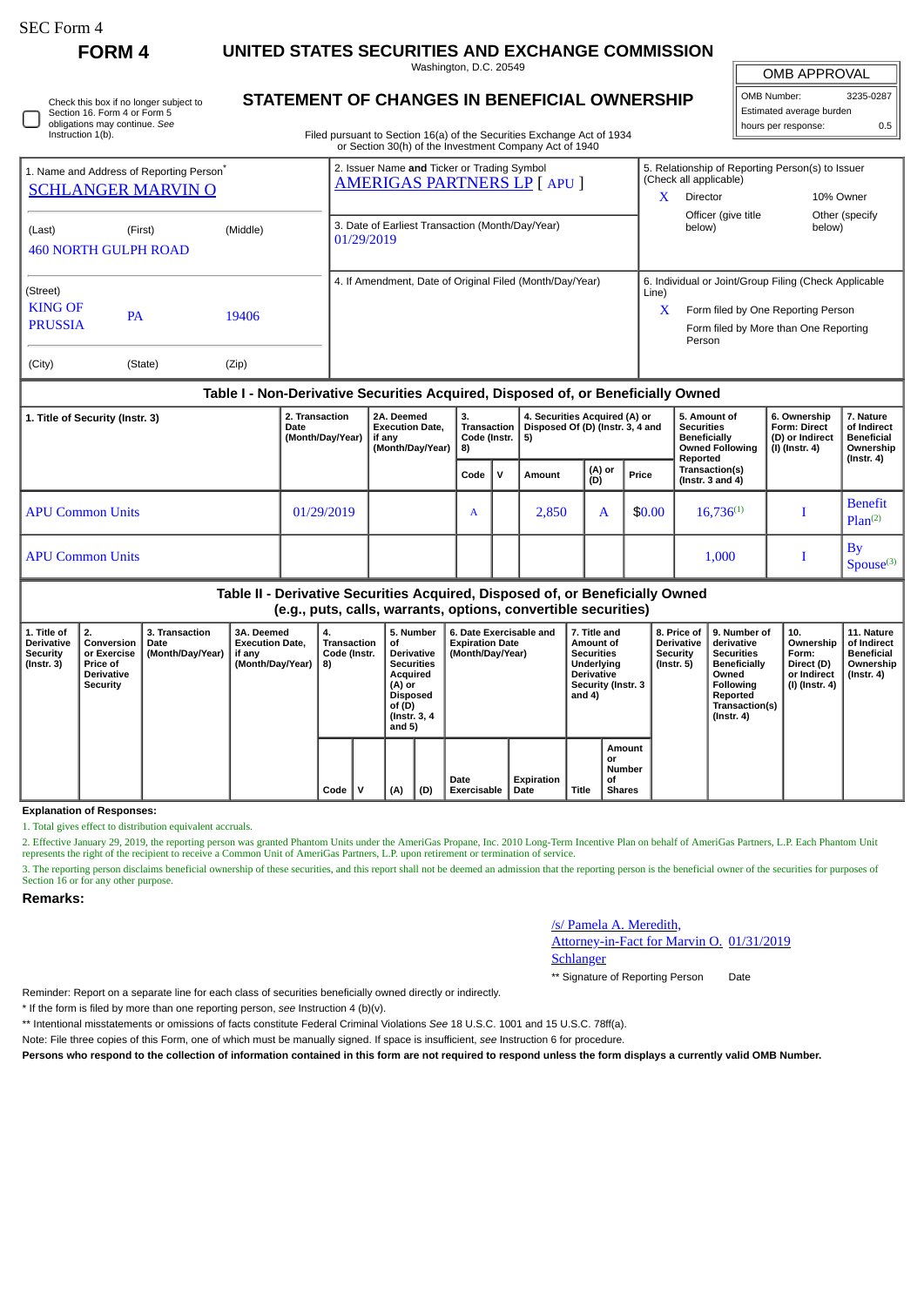П

**FORM 4 UNITED STATES SECURITIES AND EXCHANGE COMMISSION**

Washington, D.C. 20549

| Check this box if no longer subject to |
|----------------------------------------|
| Section 16. Form 4 or Form 5           |
| obligations may continue. See          |
| Instruction 1(b).                      |

## **STATEMENT OF CHANGES IN BENEFICIAL OWNERSHIP**

Filed pursuant to Section 16(a) of the Securities Exchange Act of 1934 or Section 30(h) of the Investment Company Act of 1940

| <b>OMB APPROVAL</b>      |         |  |  |  |  |  |  |  |  |
|--------------------------|---------|--|--|--|--|--|--|--|--|
| OMB Number:<br>3235-0287 |         |  |  |  |  |  |  |  |  |
| Estimated average burden |         |  |  |  |  |  |  |  |  |
| hours per response:      | $0.5 -$ |  |  |  |  |  |  |  |  |

|                                                        | 1. Name and Address of Reporting Person <sup>®</sup><br><b>SCHLANGER MARVIN O</b> |          | 2. Issuer Name and Ticker or Trading Symbol<br><b>AMERIGAS PARTNERS LP [ APU ]</b> | x          | 5. Relationship of Reporting Person(s) to Issuer<br>(Check all applicable)<br>10% Owner<br>Director                                            |                          |  |
|--------------------------------------------------------|-----------------------------------------------------------------------------------|----------|------------------------------------------------------------------------------------|------------|------------------------------------------------------------------------------------------------------------------------------------------------|--------------------------|--|
| (Last)                                                 | (First)<br><b>460 NORTH GULPH ROAD</b>                                            | (Middle) | 3. Date of Earliest Transaction (Month/Day/Year)<br>01/29/2019                     |            | Officer (give title<br>below)                                                                                                                  | Other (specify<br>below) |  |
| (Street)<br><b>KING OF</b><br><b>PRUSSIA</b><br>(City) | 19406<br><b>PA</b><br>(Zip)<br>(State)                                            |          | 4. If Amendment, Date of Original Filed (Month/Day/Year)                           | Line)<br>x | 6. Individual or Joint/Group Filing (Check Applicable<br>Form filed by One Reporting Person<br>Form filed by More than One Reporting<br>Person |                          |  |

## **Table I - Non-Derivative Securities Acquired, Disposed of, or Beneficially Owned**

| 1. Title of Security (Instr. 3) | 2. Transaction<br>Date<br>(Month/Day/Year) | 2A. Deemed<br><b>Execution Date.</b><br>if any<br>(Month/Day/Year)   8) | з.<br><b>Transaction</b><br>Code (Instr. |  | 4. Securities Acquired (A) or<br>Disposed Of (D) (Instr. 3, 4 and<br>5) |               |        | 5. Amount of<br><b>Securities</b><br><b>Beneficially</b><br><b>Owned Following</b><br>Reported | 6. Ownership<br><b>Form: Direct</b><br>(D) or Indirect<br>(I) (Instr. 4) | 7. Nature<br>of Indirect<br><b>Beneficial</b><br>Ownership<br>(Instr. 4) |  |
|---------------------------------|--------------------------------------------|-------------------------------------------------------------------------|------------------------------------------|--|-------------------------------------------------------------------------|---------------|--------|------------------------------------------------------------------------------------------------|--------------------------------------------------------------------------|--------------------------------------------------------------------------|--|
|                                 |                                            |                                                                         | Code                                     |  | Amount                                                                  | (A) or<br>(D) | Price  | Transaction(s)<br>(Instr. $3$ and $4$ )                                                        |                                                                          |                                                                          |  |
| <b>APU Common Units</b>         | 01/29/2019                                 |                                                                         | A                                        |  | 2,850                                                                   | Α             | \$0.00 | $16,736^{(1)}$                                                                                 |                                                                          | <b>Benefit</b><br>Plan <sup>(2)</sup>                                    |  |
| <b>APU Common Units</b>         |                                            |                                                                         |                                          |  |                                                                         |               |        | 1,000                                                                                          |                                                                          | $B_1$<br>Spouse <sup>(3)</sup>                                           |  |

**Table II - Derivative Securities Acquired, Disposed of, or Beneficially Owned (e.g., puts, calls, warrants, options, convertible securities)**

| 1. Title of<br>Derivative<br>Security<br>(Instr. 3) | 2.<br>Conversion<br>or Exercise<br><b>Price of</b><br><b>Derivative</b><br>Security | 3. Transaction<br>Date<br>(Month/Day/Year) | 3A. Deemed<br><b>Execution Date,</b><br>if any<br>(Month/Day/Year)   8) | 4.<br>Transaction<br>Code (Instr. |      | 5. Number<br>οf<br><b>Derivative</b><br><b>Securities</b><br>Acquired<br>(A) or<br>Disposed<br>of (D)<br>(Instr. 3, 4)<br>and $5)$ |     | 6. Date Exercisable and<br><b>Expiration Date</b><br>(Month/Day/Year) |                     | 7. Title and<br>Amount of<br><b>Securities</b><br>Underlying<br><b>Derivative</b><br>Security (Instr. 3<br>and 4) |       | 8. Price of<br><b>Derivative</b><br>Security<br>(Instr. 5) | 9. Number of<br>derivative<br><b>Securities</b><br><b>Beneficially</b><br>Owned<br><b>Following</b><br>Reported<br>Transaction(s)<br>$($ Instr. 4 $)$ | 10.<br>Ownership<br>Form:<br>Direct (D)<br>or Indirect<br>(I) (Instr. 4) | 11. Nature<br>of Indirect<br><b>Beneficial</b><br>Ownership<br>$($ Instr. 4 $)$ |
|-----------------------------------------------------|-------------------------------------------------------------------------------------|--------------------------------------------|-------------------------------------------------------------------------|-----------------------------------|------|------------------------------------------------------------------------------------------------------------------------------------|-----|-----------------------------------------------------------------------|---------------------|-------------------------------------------------------------------------------------------------------------------|-------|------------------------------------------------------------|-------------------------------------------------------------------------------------------------------------------------------------------------------|--------------------------------------------------------------------------|---------------------------------------------------------------------------------|
|                                                     |                                                                                     |                                            |                                                                         |                                   | Code | v                                                                                                                                  | (A) | (D)                                                                   | Date<br>Exercisable | Expiration<br>Date                                                                                                | Title | Amount<br>or<br><b>Number</b><br>οf<br><b>Shares</b>       |                                                                                                                                                       |                                                                          |                                                                                 |

**Explanation of Responses:**

1. Total gives effect to distribution equivalent accruals.

2. Effective January 29, 2019, the reporting person was granted Phantom Units under the AmeriGas Propane, Inc. 2010 Long-Term Incentive Plan on behalf of AmeriGas Partners, L.P. Each Phantom Unit represents the right of the recipient to receive a Common Unit of AmeriGas Partners, L.P. upon retirement or termination of service.

3. The reporting person disclaims beneficial ownership of these securities, and this report shall not be deemed an admission that the reporting person is the beneficial owner of the securities for purposes of Section 16 or for any other purpose.

**Remarks:**

/s/ Pamela A. Meredith,

Attorney-in-Fact for Marvin O. 01/31/2019

**Schlanger** 

\*\* Signature of Reporting Person Date

Reminder: Report on a separate line for each class of securities beneficially owned directly or indirectly.

\* If the form is filed by more than one reporting person, *see* Instruction 4 (b)(v).

\*\* Intentional misstatements or omissions of facts constitute Federal Criminal Violations *See* 18 U.S.C. 1001 and 15 U.S.C. 78ff(a).

Note: File three copies of this Form, one of which must be manually signed. If space is insufficient, *see* Instruction 6 for procedure.

**Persons who respond to the collection of information contained in this form are not required to respond unless the form displays a currently valid OMB Number.**